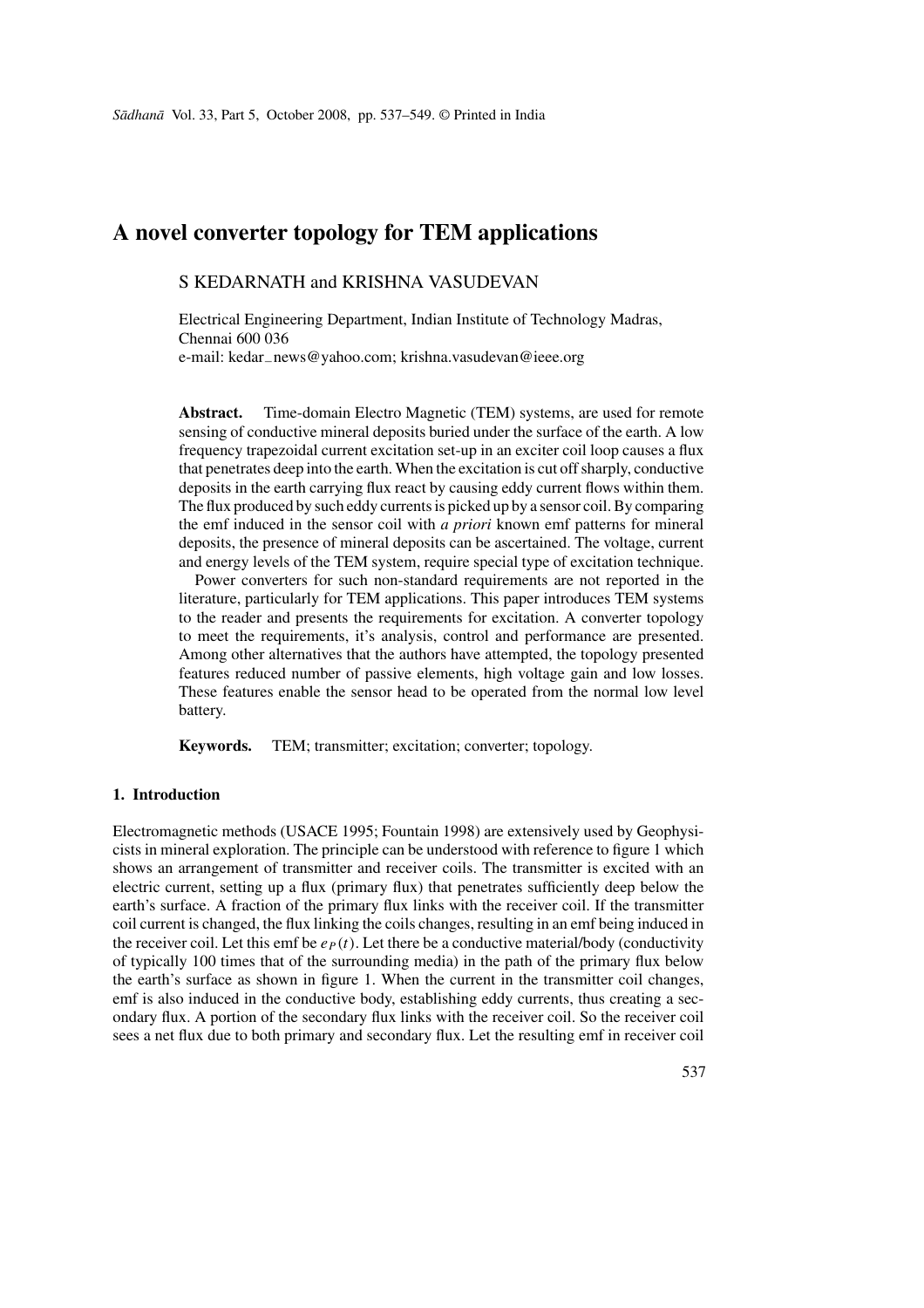# **A novel converter topology for TEM applications**

# S KEDARNATH and KRISHNA VASUDEVAN

Electrical Engineering Department, Indian Institute of Technology Madras, Chennai 600 036 e-mail: kedar−news@yahoo.com; krishna.vasudevan@ieee.org

**Abstract.** Time-domain Electro Magnetic (TEM) systems, are used for remote sensing of conductive mineral deposits buried under the surface of the earth. A low frequency trapezoidal current excitation set-up in an exciter coil loop causes a flux that penetrates deep into the earth. When the excitation is cut off sharply, conductive deposits in the earth carrying flux react by causing eddy current flows within them. The flux produced by such eddy currents is picked up by a sensor coil. By comparing the emf induced in the sensor coil with *a priori* known emf patterns for mineral deposits, the presence of mineral deposits can be ascertained. The voltage, current and energy levels of the TEM system, require special type of excitation technique.

Power converters for such non-standard requirements are not reported in the literature, particularly for TEM applications. This paper introduces TEM systems to the reader and presents the requirements for excitation. A converter topology to meet the requirements, it's analysis, control and performance are presented. Among other alternatives that the authors have attempted, the topology presented features reduced number of passive elements, high voltage gain and low losses. These features enable the sensor head to be operated from the normal low level battery.

**Keywords.** TEM; transmitter; excitation; converter; topology.

# **1. Introduction**

Electromagnetic methods (USACE 1995; Fountain 1998) are extensively used by Geophysicists in mineral exploration. The principle can be understood with reference to figure 1 which shows an arrangement of transmitter and receiver coils. The transmitter is excited with an electric current, setting up a flux (primary flux) that penetrates sufficiently deep below the earth's surface. A fraction of the primary flux links with the receiver coil. If the transmitter coil current is changed, the flux linking the coils changes, resulting in an emf being induced in the receiver coil. Let this emf be  $e_P(t)$ . Let there be a conductive material/body (conductivity of typically 100 times that of the surrounding media) in the path of the primary flux below the earth's surface as shown in figure 1. When the current in the transmitter coil changes, emf is also induced in the conductive body, establishing eddy currents, thus creating a secondary flux. A portion of the secondary flux links with the receiver coil. So the receiver coil sees a net flux due to both primary and secondary flux. Let the resulting emf in receiver coil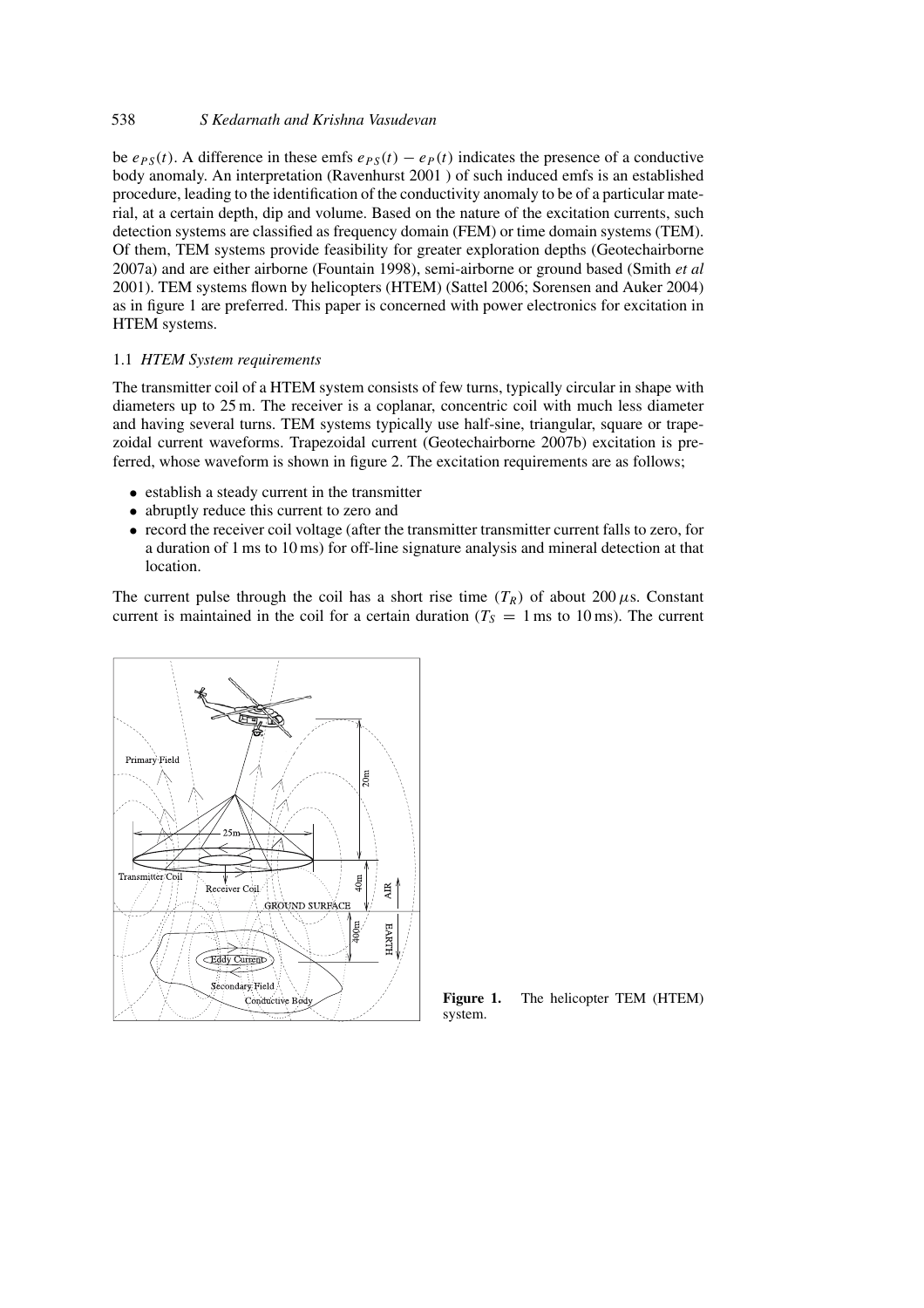# 538 *S Kedarnath and Krishna Vasudevan*

be  $e_{PS}(t)$ . A difference in these emfs  $e_{PS}(t) - e_P(t)$  indicates the presence of a conductive body anomaly. An interpretation (Ravenhurst 2001 ) of such induced emfs is an established procedure, leading to the identification of the conductivity anomaly to be of a particular material, at a certain depth, dip and volume. Based on the nature of the excitation currents, such detection systems are classified as frequency domain (FEM) or time domain systems (TEM). Of them, TEM systems provide feasibility for greater exploration depths (Geotechairborne 2007a) and are either airborne (Fountain 1998), semi-airborne or ground based (Smith *et al* 2001). TEM systems flown by helicopters (HTEM) (Sattel 2006; Sorensen and Auker 2004) as in figure 1 are preferred. This paper is concerned with power electronics for excitation in HTEM systems.

#### 1.1 *HTEM System requirements*

The transmitter coil of a HTEM system consists of few turns, typically circular in shape with diameters up to 25 m. The receiver is a coplanar, concentric coil with much less diameter and having several turns. TEM systems typically use half-sine, triangular, square or trapezoidal current waveforms. Trapezoidal current (Geotechairborne 2007b) excitation is preferred, whose waveform is shown in figure 2. The excitation requirements are as follows;

- establish a steady current in the transmitter
- abruptly reduce this current to zero and
- record the receiver coil voltage (after the transmitter transmitter current falls to zero, for a duration of 1 ms to 10 ms) for off-line signature analysis and mineral detection at that location.

The current pulse through the coil has a short rise time  $(T_R)$  of about 200  $\mu$ s. Constant current is maintained in the coil for a certain duration ( $T<sub>S</sub> = 1$  ms to 10 ms). The current



**Figure 1.** The helicopter TEM (HTEM) system.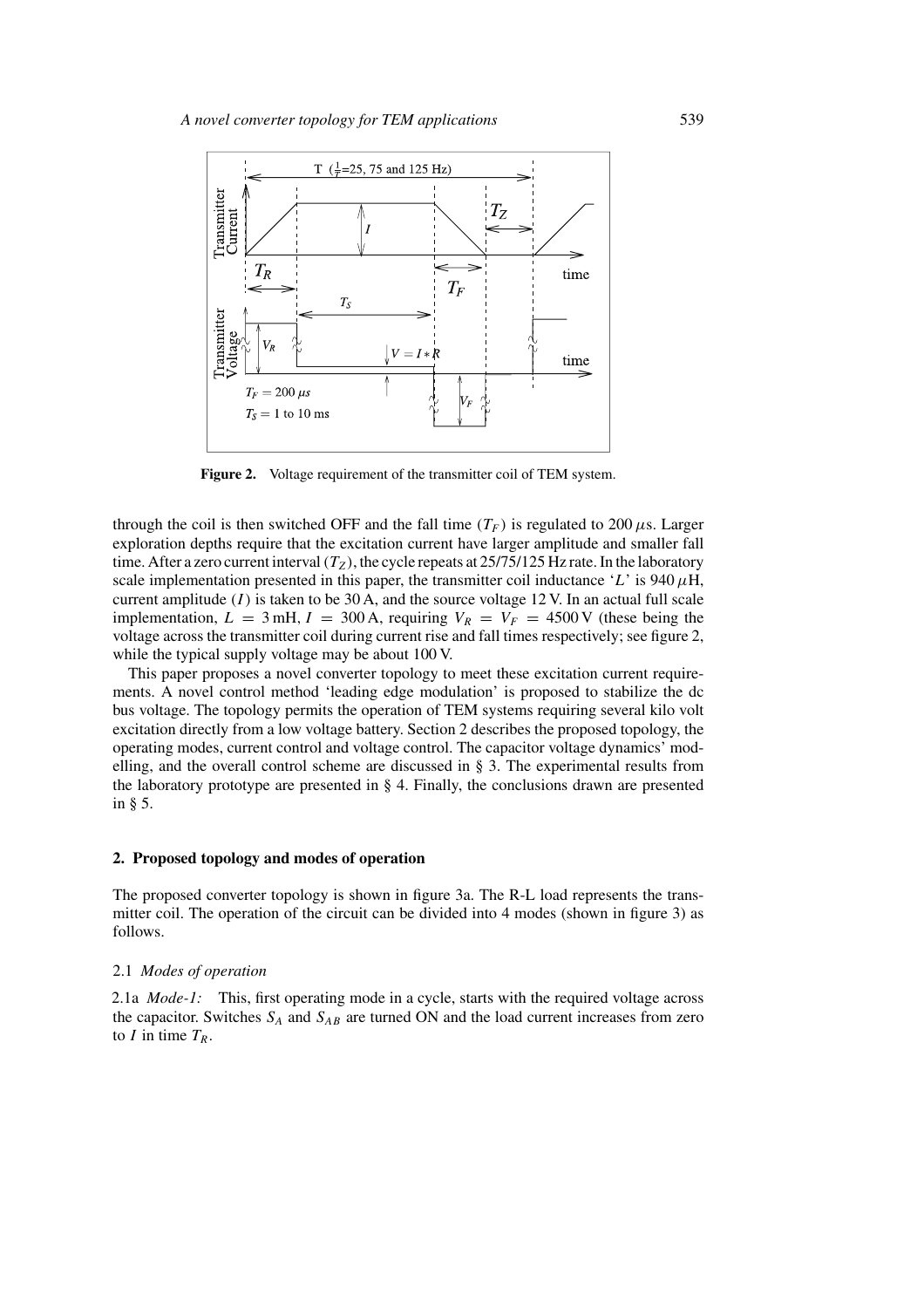

Figure 2. Voltage requirement of the transmitter coil of TEM system.

through the coil is then switched OFF and the fall time  $(T_F)$  is regulated to 200  $\mu$ s. Larger exploration depths require that the excitation current have larger amplitude and smaller fall time. After a zero current interval  $(T_Z)$ , the cycle repeats at 25/75/125 Hz rate. In the laboratory scale implementation presented in this paper, the transmitter coil inductance '*L*' is 940  $\mu$ H, current amplitude (*I*) is taken to be 30 A, and the source voltage 12 V. In an actual full scale implementation,  $L = 3$  mH,  $I = 300$  A, requiring  $V_R = V_F = 4500$  V (these being the voltage across the transmitter coil during current rise and fall times respectively; see figure 2, while the typical supply voltage may be about 100 V.

This paper proposes a novel converter topology to meet these excitation current requirements. A novel control method 'leading edge modulation' is proposed to stabilize the dc bus voltage. The topology permits the operation of TEM systems requiring several kilo volt excitation directly from a low voltage battery. Section 2 describes the proposed topology, the operating modes, current control and voltage control. The capacitor voltage dynamics' modelling, and the overall control scheme are discussed in  $\S$  3. The experimental results from the laboratory prototype are presented in § 4. Finally, the conclusions drawn are presented in § 5.

#### **2. Proposed topology and modes of operation**

The proposed converter topology is shown in figure 3a. The R-L load represents the transmitter coil. The operation of the circuit can be divided into 4 modes (shown in figure 3) as follows.

#### 2.1 *Modes of operation*

2.1a *Mode-1:* This, first operating mode in a cycle, starts with the required voltage across the capacitor. Switches *SA* and *SAB* are turned ON and the load current increases from zero to *I* in time  $T_R$ .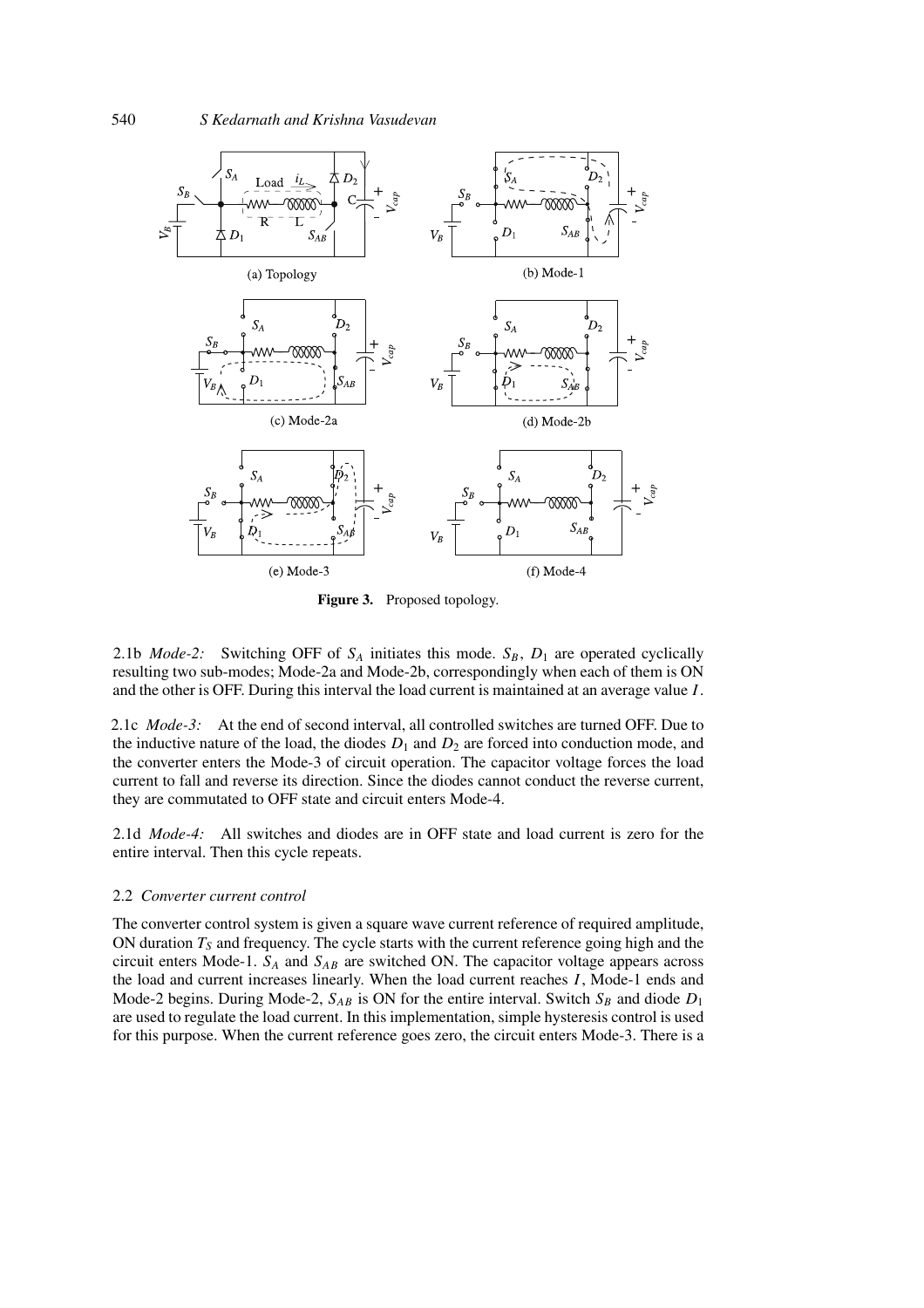

**Figure 3.** Proposed topology.

2.1b *Mode-2:* Switching OFF of  $S_A$  initiates this mode.  $S_B$ ,  $D_1$  are operated cyclically resulting two sub-modes; Mode-2a and Mode-2b, correspondingly when each of them is ON and the other is OFF. During this interval the load current is maintained at an average value *I* .

2.1c *Mode-3:* At the end of second interval, all controlled switches are turned OFF. Due to the inductive nature of the load, the diodes  $D_1$  and  $D_2$  are forced into conduction mode, and the converter enters the Mode-3 of circuit operation. The capacitor voltage forces the load current to fall and reverse its direction. Since the diodes cannot conduct the reverse current, they are commutated to OFF state and circuit enters Mode-4.

2.1d *Mode-4:* All switches and diodes are in OFF state and load current is zero for the entire interval. Then this cycle repeats.

#### 2.2 *Converter current control*

The converter control system is given a square wave current reference of required amplitude, ON duration  $T<sub>S</sub>$  and frequency. The cycle starts with the current reference going high and the circuit enters Mode-1.  $S_A$  and  $S_{AB}$  are switched ON. The capacitor voltage appears across the load and current increases linearly. When the load current reaches *I* , Mode-1 ends and Mode-2 begins. During Mode-2,  $S_{AB}$  is ON for the entire interval. Switch  $S_B$  and diode  $D_1$ are used to regulate the load current. In this implementation, simple hysteresis control is used for this purpose. When the current reference goes zero, the circuit enters Mode-3. There is a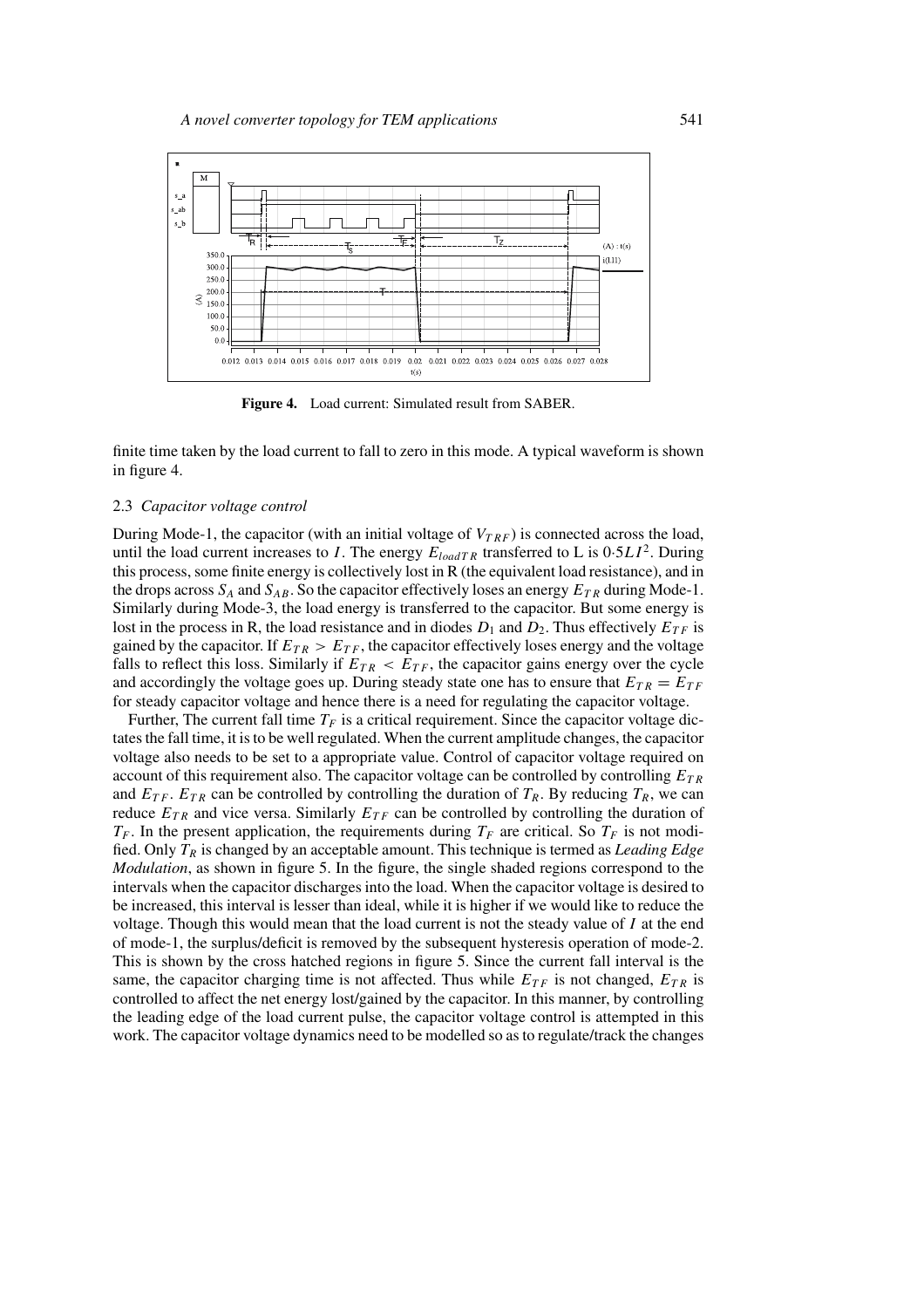

**Figure 4.** Load current: Simulated result from SABER.

finite time taken by the load current to fall to zero in this mode. A typical waveform is shown in figure 4.

### 2.3 *Capacitor voltage control*

During Mode-1, the capacitor (with an initial voltage of  $V_{TRF}$ ) is connected across the load, until the load current increases to *I*. The energy  $E_{loadTR}$  transferred to L is  $0.5LI^2$ . During this process, some finite energy is collectively lost in R (the equivalent load resistance), and in the drops across  $S_A$  and  $S_{AB}$ . So the capacitor effectively loses an energy  $E_{TR}$  during Mode-1. Similarly during Mode-3, the load energy is transferred to the capacitor. But some energy is lost in the process in R, the load resistance and in diodes  $D_1$  and  $D_2$ . Thus effectively  $E_{TF}$  is gained by the capacitor. If  $E_{TR} > E_{TF}$ , the capacitor effectively loses energy and the voltage falls to reflect this loss. Similarly if  $E_{TR} < E_{TF}$ , the capacitor gains energy over the cycle and accordingly the voltage goes up. During steady state one has to ensure that  $E_{TR} = E_{TF}$ for steady capacitor voltage and hence there is a need for regulating the capacitor voltage.

Further, The current fall time  $T_F$  is a critical requirement. Since the capacitor voltage dictates the fall time, it is to be well regulated. When the current amplitude changes, the capacitor voltage also needs to be set to a appropriate value. Control of capacitor voltage required on account of this requirement also. The capacitor voltage can be controlled by controlling *ET R* and  $E_{TF}$ .  $E_{TR}$  can be controlled by controlling the duration of  $T_R$ . By reducing  $T_R$ , we can reduce  $E_{TR}$  and vice versa. Similarly  $E_{TF}$  can be controlled by controlling the duration of  $T_F$ . In the present application, the requirements during  $T_F$  are critical. So  $T_F$  is not modified. Only *TR* is changed by an acceptable amount. This technique is termed as *Leading Edge Modulation*, as shown in figure 5. In the figure, the single shaded regions correspond to the intervals when the capacitor discharges into the load. When the capacitor voltage is desired to be increased, this interval is lesser than ideal, while it is higher if we would like to reduce the voltage. Though this would mean that the load current is not the steady value of *I* at the end of mode-1, the surplus/deficit is removed by the subsequent hysteresis operation of mode-2. This is shown by the cross hatched regions in figure 5. Since the current fall interval is the same, the capacitor charging time is not affected. Thus while  $E_{TF}$  is not changed,  $E_{TR}$  is controlled to affect the net energy lost/gained by the capacitor. In this manner, by controlling the leading edge of the load current pulse, the capacitor voltage control is attempted in this work. The capacitor voltage dynamics need to be modelled so as to regulate/track the changes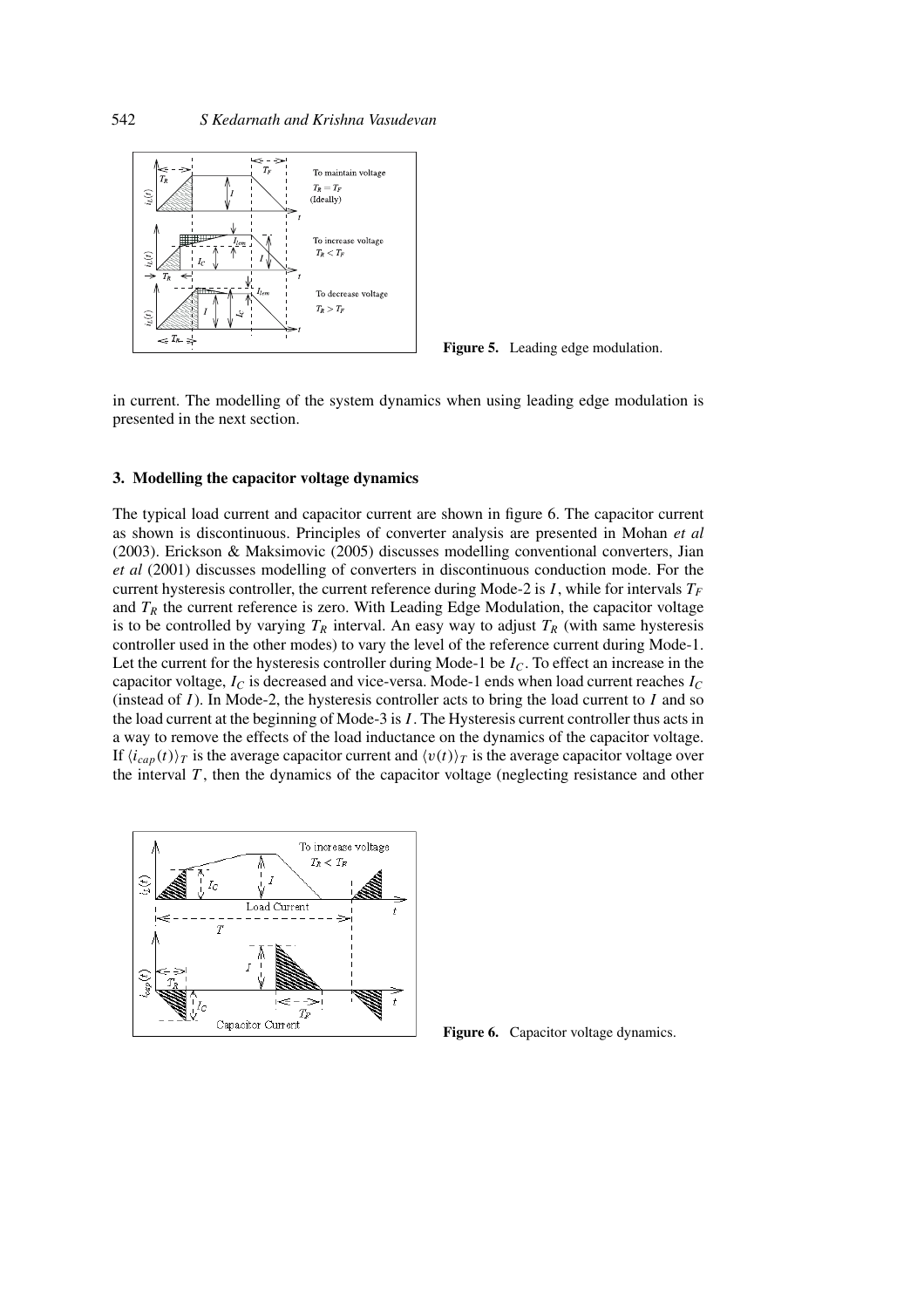

**Figure 5.** Leading edge modulation.

in current. The modelling of the system dynamics when using leading edge modulation is presented in the next section.

#### **3. Modelling the capacitor voltage dynamics**

The typical load current and capacitor current are shown in figure 6. The capacitor current as shown is discontinuous. Principles of converter analysis are presented in Mohan *et al* (2003). Erickson & Maksimovic (2005) discusses modelling conventional converters, Jian *et al* (2001) discusses modelling of converters in discontinuous conduction mode. For the current hysteresis controller, the current reference during Mode-2 is  $I$ , while for intervals  $T_F$ and  $T_R$  the current reference is zero. With Leading Edge Modulation, the capacitor voltage is to be controlled by varying  $T_R$  interval. An easy way to adjust  $T_R$  (with same hysteresis controller used in the other modes) to vary the level of the reference current during Mode-1. Let the current for the hysteresis controller during Mode-1 be *IC*. To effect an increase in the capacitor voltage,  $I_C$  is decreased and vice-versa. Mode-1 ends when load current reaches  $I_C$ (instead of *I* ). In Mode-2, the hysteresis controller acts to bring the load current to *I* and so the load current at the beginning of Mode-3 is *I* . The Hysteresis current controller thus acts in a way to remove the effects of the load inductance on the dynamics of the capacitor voltage. If  $\langle i_{cap}(t) \rangle_T$  is the average capacitor current and  $\langle v(t) \rangle_T$  is the average capacitor voltage over the interval *T* , then the dynamics of the capacitor voltage (neglecting resistance and other



Figure **6.** Capacitor voltage dynamics.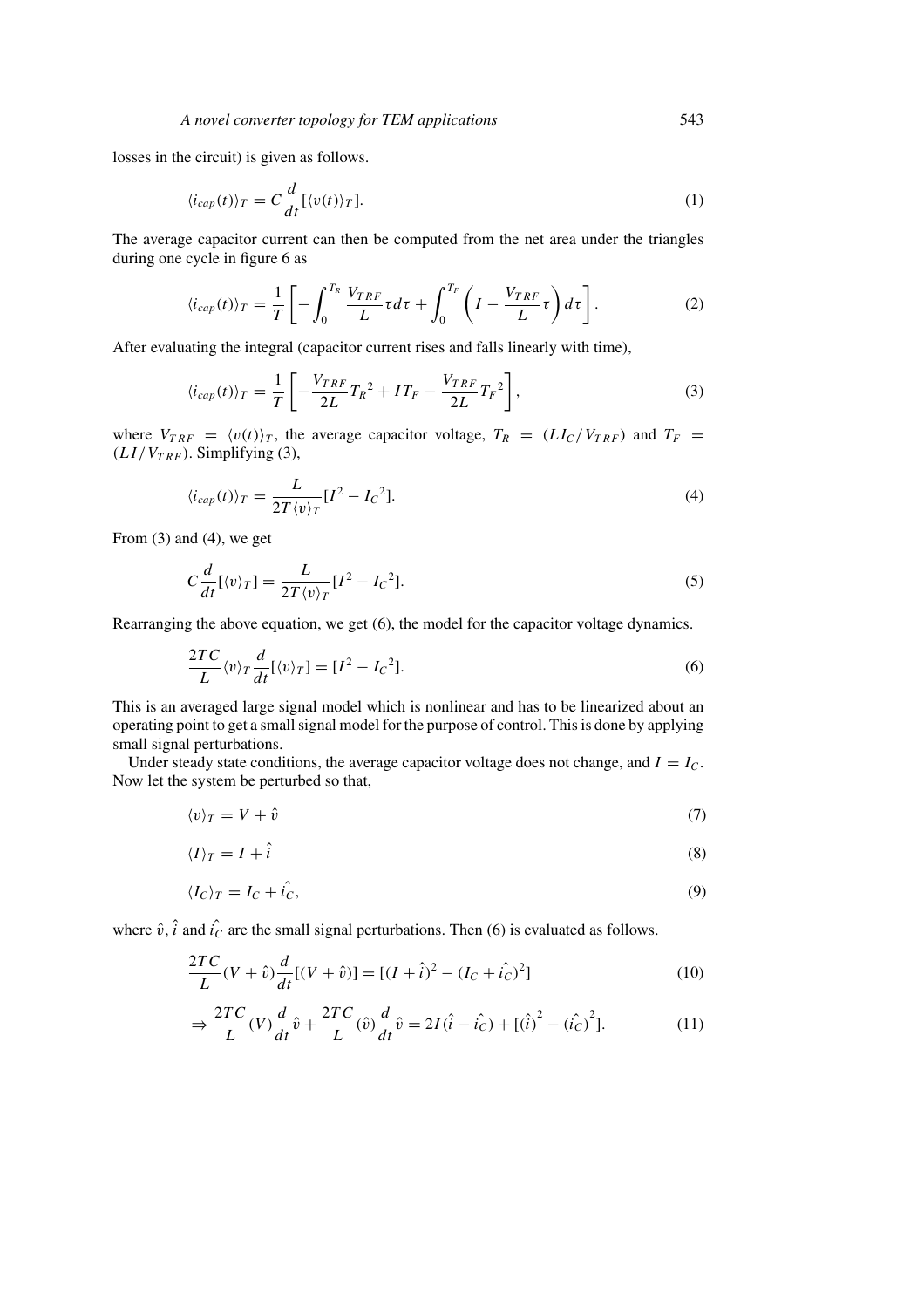losses in the circuit) is given as follows.

$$
\langle i_{cap}(t) \rangle_T = C \frac{d}{dt} [\langle v(t) \rangle_T]. \tag{1}
$$

The average capacitor current can then be computed from the net area under the triangles during one cycle in figure 6 as

$$
\langle i_{cap}(t) \rangle_T = \frac{1}{T} \left[ -\int_0^{T_R} \frac{V_{TRF}}{L} \tau d\tau + \int_0^{T_F} \left( I - \frac{V_{TRF}}{L} \tau \right) d\tau \right]. \tag{2}
$$

After evaluating the integral (capacitor current rises and falls linearly with time),

$$
\langle i_{cap}(t) \rangle_T = \frac{1}{T} \left[ -\frac{V_{TRF}}{2L} T_R^2 + I T_F - \frac{V_{TRF}}{2L} T_F^2 \right],\tag{3}
$$

where  $V_{TRF} = \langle v(t) \rangle_T$ , the average capacitor voltage,  $T_R = (LI_C/V_{TRF})$  and  $T_F = (I_C/V_{TRF})$  $(LI/V_{TRF})$ . Simplifying (3),

$$
\langle i_{cap}(t) \rangle_T = \frac{L}{2T \langle v \rangle_T} [I^2 - I_C^2]. \tag{4}
$$

From (3) and (4), we get

$$
C\frac{d}{dt}[\langle v\rangle_T] = \frac{L}{2T\langle v\rangle_T}[I^2 - I_C^2].
$$
\n(5)

Rearranging the above equation, we get (6), the model for the capacitor voltage dynamics.

$$
\frac{2TC}{L}\langle v\rangle_T \frac{d}{dt}[\langle v\rangle_T] = [I^2 - I_C^2].\tag{6}
$$

This is an averaged large signal model which is nonlinear and has to be linearized about an operating point to get a small signal model for the purpose of control. This is done by applying small signal perturbations.

Under steady state conditions, the average capacitor voltage does not change, and  $I = I_C$ . Now let the system be perturbed so that,

$$
\langle v \rangle_T = V + \hat{v} \tag{7}
$$

$$
\langle I \rangle_T = I + \hat{i} \tag{8}
$$

$$
\langle I_C \rangle_T = I_C + \hat{i}_C,\tag{9}
$$

where  $\hat{v}$ ,  $\hat{i}$  and  $\hat{i}_C$  are the small signal perturbations. Then (6) is evaluated as follows.

$$
\frac{2TC}{L}(V+\hat{v})\frac{d}{dt}[(V+\hat{v})] = [(I+\hat{i})^2 - (I_C+\hat{i}_C)^2]
$$
\n(10)

$$
\Rightarrow \frac{2TC}{L}(V)\frac{d}{dt}\hat{v} + \frac{2TC}{L}(\hat{v})\frac{d}{dt}\hat{v} = 2I(\hat{i} - \hat{i}_C) + [(\hat{i})^2 - (\hat{i}_C)^2].
$$
 (11)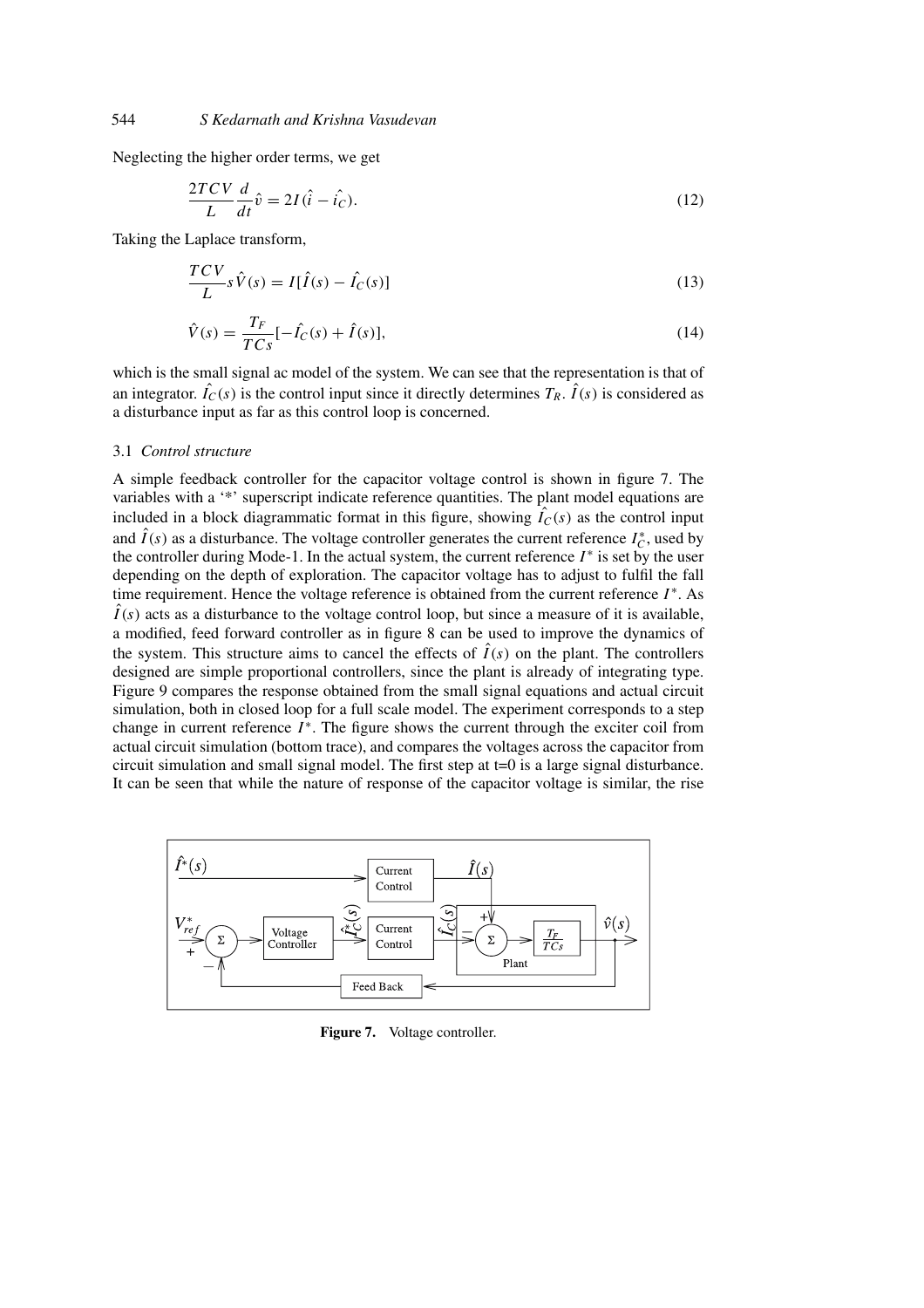Neglecting the higher order terms, we get

$$
\frac{2TCV}{L}\frac{d}{dt}\hat{v} = 2I(\hat{i} - \hat{i}_C). \tag{12}
$$

Taking the Laplace transform,

$$
\frac{TCV}{L}s\hat{V}(s) = I[\hat{I}(s) - \hat{I}_C(s)]
$$
\n(13)

$$
\hat{V}(s) = \frac{T_F}{TCs}[-\hat{I}_C(s) + \hat{I}(s)],
$$
\n(14)

which is the small signal ac model of the system. We can see that the representation is that of an integrator.  $\hat{I}_C(s)$  is the control input since it directly determines  $T_R$ .  $\hat{I}(s)$  is considered as a disturbance input as far as this control loop is concerned.

#### 3.1 *Control structure*

A simple feedback controller for the capacitor voltage control is shown in figure 7. The variables with a '\*' superscript indicate reference quantities. The plant model equations are included in a block diagrammatic format in this figure, showing  $\hat{I}_C(s)$  as the control input and  $\hat{I}(s)$  as a disturbance. The voltage controller generates the current reference  $I_C^*$ , used by the controller during Mode-1. In the actual system, the current reference  $I^*$  is set by the user depending on the depth of exploration. The capacitor voltage has to adjust to fulfil the fall time requirement. Hence the voltage reference is obtained from the current reference *I* <sup>∗</sup>. As  $\hat{I}(s)$  acts as a disturbance to the voltage control loop, but since a measure of it is available, a modified, feed forward controller as in figure 8 can be used to improve the dynamics of the system. This structure aims to cancel the effects of  $\hat{I}(s)$  on the plant. The controllers designed are simple proportional controllers, since the plant is already of integrating type. Figure 9 compares the response obtained from the small signal equations and actual circuit simulation, both in closed loop for a full scale model. The experiment corresponds to a step change in current reference *I*<sup>\*</sup>. The figure shows the current through the exciter coil from actual circuit simulation (bottom trace), and compares the voltages across the capacitor from circuit simulation and small signal model. The first step at t=0 is a large signal disturbance. It can be seen that while the nature of response of the capacitor voltage is similar, the rise



**Figure 7.** Voltage controller.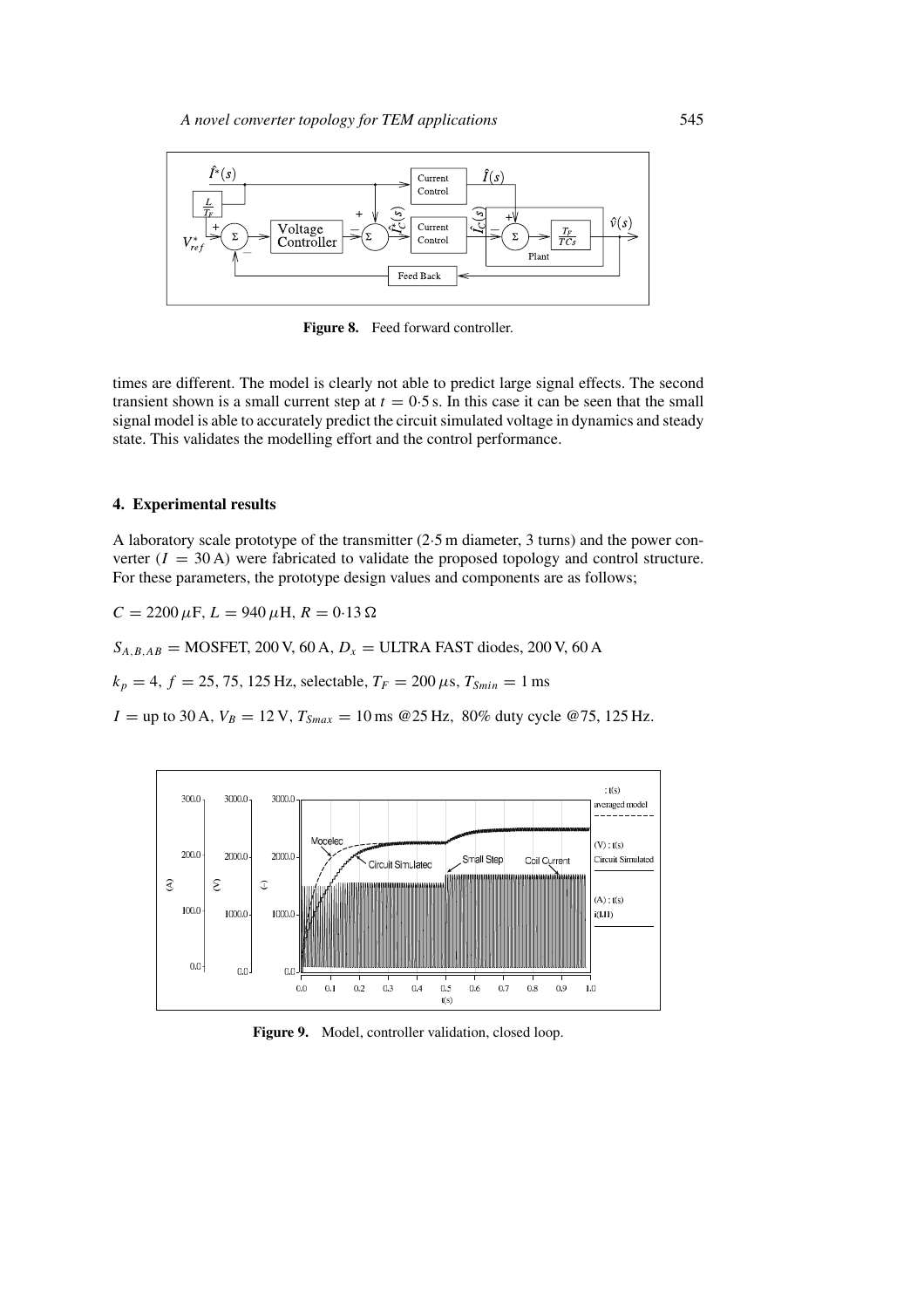

Figure 8. Feed forward controller.

times are different. The model is clearly not able to predict large signal effects. The second transient shown is a small current step at  $t = 0.5$  s. In this case it can be seen that the small signal model is able to accurately predict the circuit simulated voltage in dynamics and steady state. This validates the modelling effort and the control performance.

## **4. Experimental results**

A laboratory scale prototype of the transmitter (2·5 m diameter, 3 turns) and the power converter  $(I = 30 \text{ A})$  were fabricated to validate the proposed topology and control structure. For these parameters, the prototype design values and components are as follows;

$$
C = 2200 \,\mu\text{F}, L = 940 \,\mu\text{H}, R = 0.13 \,\Omega
$$

 $S_{A,B,AB}$  = MOSFET, 200 V, 60 A,  $D_x$  = ULTRA FAST diodes, 200 V, 60 A

 $k_p = 4$ ,  $f = 25$ , 75, 125 Hz, selectable,  $T_F = 200 \,\mu s$ ,  $T_{Smin} = 1 \,\text{ms}$ 

 $I =$ up to 30 A,  $V_B = 12$  V,  $T_{Smax} = 10$  ms @25 Hz, 80% duty cycle @75, 125 Hz.



**Figure 9.** Model, controller validation, closed loop.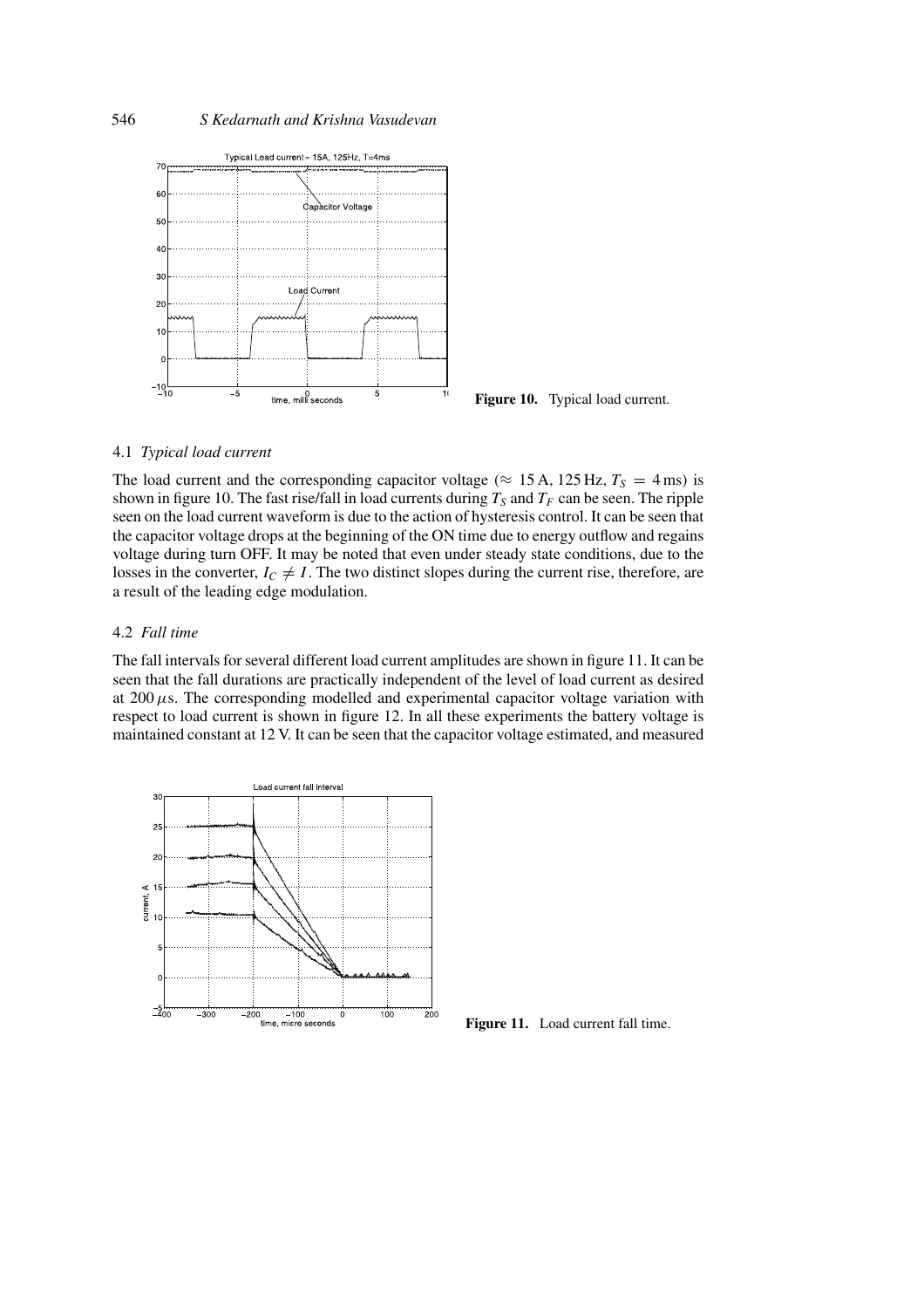

**Figure 10.** Typical load current.

# 4.1 *Typical load current*

The load current and the corresponding capacitor voltage ( $\approx$  15 A, 125 Hz,  $T_s = 4$  ms) is shown in figure 10. The fast rise/fall in load currents during  $T<sub>S</sub>$  and  $T<sub>F</sub>$  can be seen. The ripple seen on the load current waveform is due to the action of hysteresis control. It can be seen that the capacitor voltage drops at the beginning of the ON time due to energy outflow and regains voltage during turn OFF. It may be noted that even under steady state conditions, due to the losses in the converter,  $I_C \neq I$ . The two distinct slopes during the current rise, therefore, are a result of the leading edge modulation.

## 4.2 *Fall time*

The fall intervals for several different load current amplitudes are shown in figure 11. It can be seen that the fall durations are practically independent of the level of load current as desired at 200 *μ*s. The corresponding modelled and experimental capacitor voltage variation with respect to load current is shown in figure 12. In all these experiments the battery voltage is maintained constant at 12 V. It can be seen that the capacitor voltage estimated, and measured



Figure 11. Load current fall time.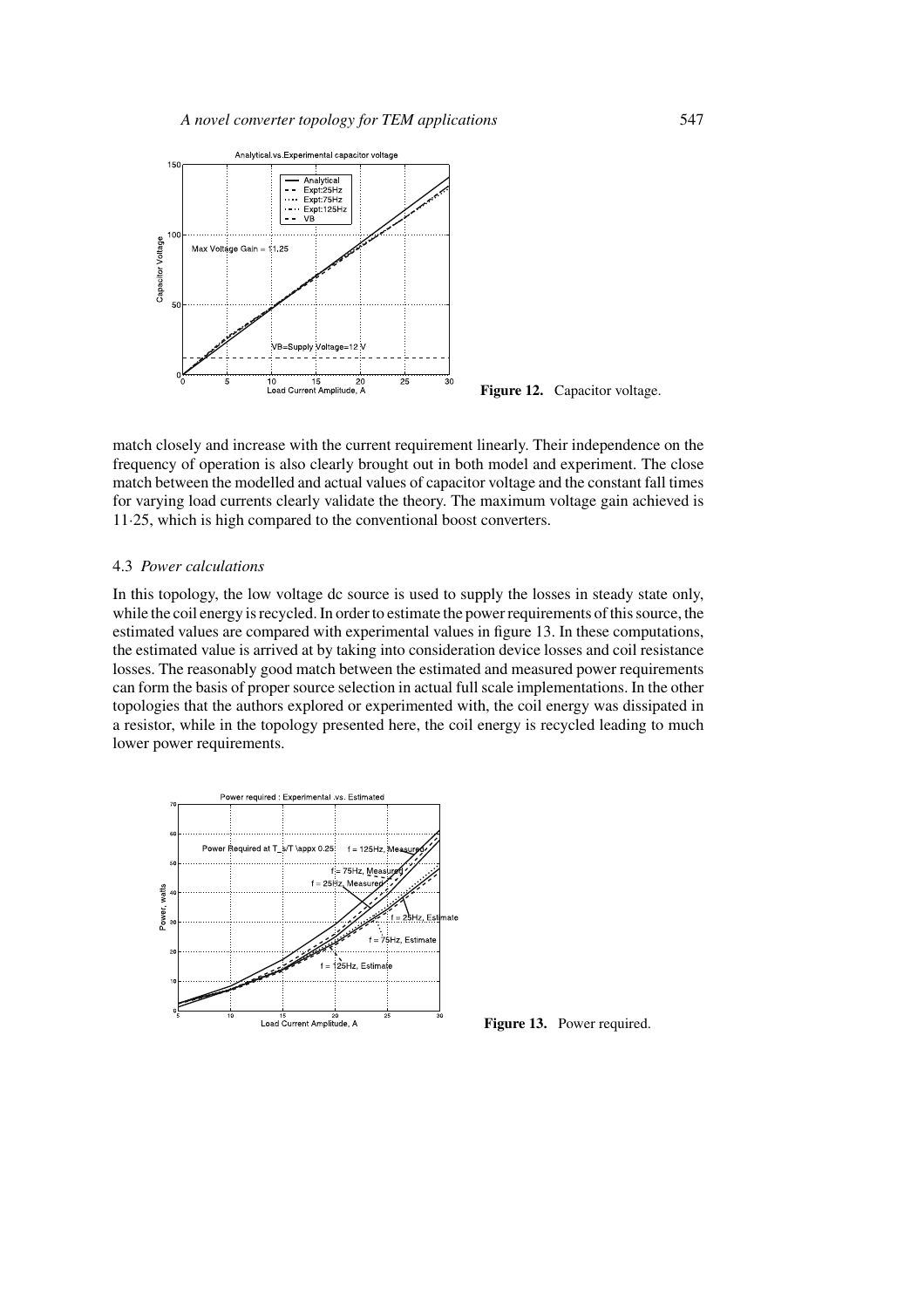

**Figure 12.** Capacitor voltage.

match closely and increase with the current requirement linearly. Their independence on the frequency of operation is also clearly brought out in both model and experiment. The close match between the modelled and actual values of capacitor voltage and the constant fall times for varying load currents clearly validate the theory. The maximum voltage gain achieved is 11·25, which is high compared to the conventional boost converters.

#### 4.3 *Power calculations*

In this topology, the low voltage dc source is used to supply the losses in steady state only, while the coil energy is recycled. In order to estimate the power requirements of this source, the estimated values are compared with experimental values in figure 13. In these computations, the estimated value is arrived at by taking into consideration device losses and coil resistance losses. The reasonably good match between the estimated and measured power requirements can form the basis of proper source selection in actual full scale implementations. In the other topologies that the authors explored or experimented with, the coil energy was dissipated in a resistor, while in the topology presented here, the coil energy is recycled leading to much lower power requirements.



**Figure 13.** Power required.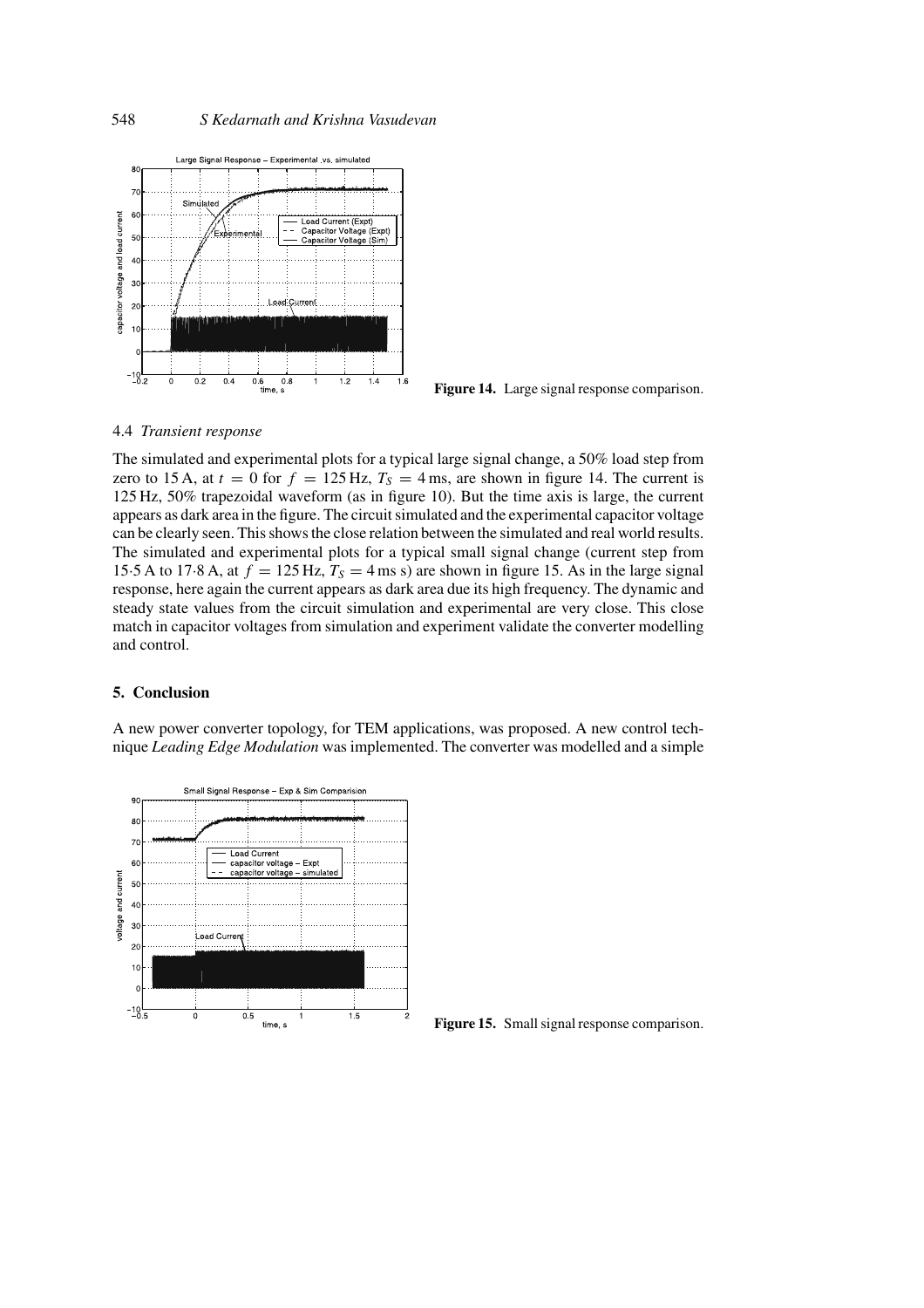

**Figure 14.** Large signal response comparison.

#### 4.4 *Transient response*

The simulated and experimental plots for a typical large signal change, a 50% load step from zero to 15 A, at  $t = 0$  for  $f = 125$  Hz,  $T_s = 4$  ms, are shown in figure 14. The current is 125 Hz, 50% trapezoidal waveform (as in figure 10). But the time axis is large, the current appears as dark area in the figure. The circuit simulated and the experimental capacitor voltage can be clearly seen. This shows the close relation between the simulated and real world results. The simulated and experimental plots for a typical small signal change (current step from 15.5 A to 17.8 A, at  $f = 125$  Hz,  $T_s = 4$  ms s) are shown in figure 15. As in the large signal response, here again the current appears as dark area due its high frequency. The dynamic and steady state values from the circuit simulation and experimental are very close. This close match in capacitor voltages from simulation and experiment validate the converter modelling and control.

#### **5. Conclusion**

A new power converter topology, for TEM applications, was proposed. A new control technique *Leading Edge Modulation* was implemented. The converter was modelled and a simple



**Figure 15.** Small signal response comparison.